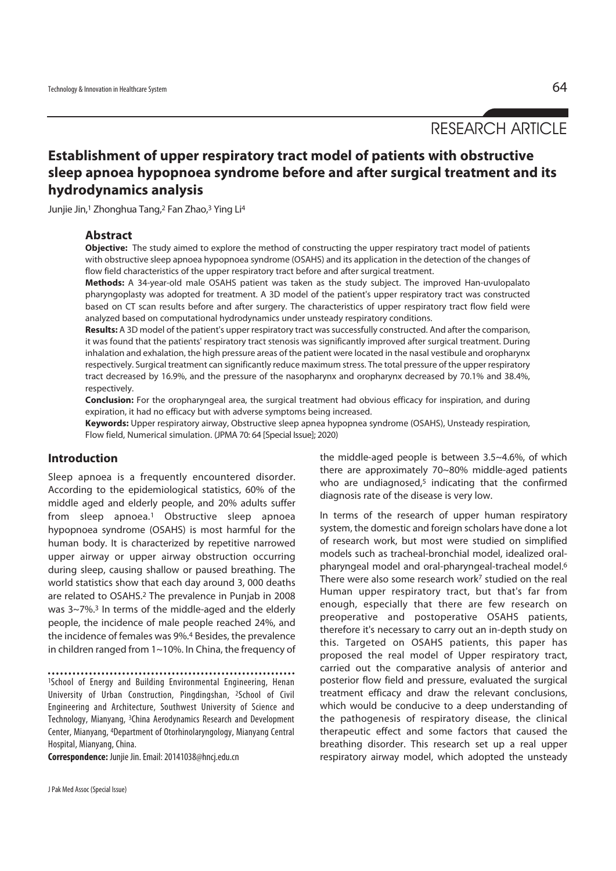RESEARCH ARTICLE

# **Establishment of upper respiratory tract model of patients with obstructive sleep apnoea hypopnoea syndrome before and after surgical treatment and its hydrodynamics analysis**

Junjie Jin,<sup>1</sup> Zhonghua Tang,<sup>2</sup> Fan Zhao,<sup>3</sup> Ying Li<sup>4</sup>

#### **Abstract**

**Objective:** The study aimed to explore the method of constructing the upper respiratory tract model of patients with obstructive sleep apnoea hypopnoea syndrome (OSAHS) and its application in the detection of the changes of flow field characteristics of the upper respiratory tract before and after surgical treatment.

**Methods:** A 34-year-old male OSAHS patient was taken as the study subject. The improved Han-uvulopalato pharyngoplasty was adopted for treatment. A 3D model of the patient's upper respiratory tract was constructed based on CT scan results before and after surgery. The characteristics of upper respiratory tract flow field were analyzed based on computational hydrodynamics under unsteady respiratory conditions.

**Results:** A 3D model of the patient's upper respiratory tract was successfully constructed. And after the comparison, it was found that the patients' respiratory tract stenosis was significantly improved after surgical treatment. During inhalation and exhalation, the high pressure areas of the patient were located in the nasal vestibule and oropharynx respectively. Surgical treatment can significantly reduce maximum stress. The total pressure of the upper respiratory tract decreased by 16.9%, and the pressure of the nasopharynx and oropharynx decreased by 70.1% and 38.4%, respectively.

**Conclusion:** For the oropharyngeal area, the surgical treatment had obvious efficacy for inspiration, and during expiration, it had no efficacy but with adverse symptoms being increased.

**Keywords:** Upper respiratory airway, Obstructive sleep apnea hypopnea syndrome (OSAHS), Unsteady respiration, Flow field, Numerical simulation. (JPMA 70: 64 [Special Issue]; 2020)

## **Introduction**

Sleep apnoea is a frequently encountered disorder. According to the epidemiological statistics, 60% of the middle aged and elderly people, and 20% adults suffer from sleep apnoea.1 Obstructive sleep apnoea hypopnoea syndrome (OSAHS) is most harmful for the human body. It is characterized by repetitive narrowed upper airway or upper airway obstruction occurring during sleep, causing shallow or paused breathing. The world statistics show that each day around 3, 000 deaths are related to OSAHS.2 The prevalence in Punjab in 2008 was 3~7%.3 In terms of the middle-aged and the elderly people, the incidence of male people reached 24%, and the incidence of females was 9%.4 Besides, the prevalence in children ranged from 1~10%. In China, the frequency of

1School of Energy and Building Environmental Engineering, Henan University of Urban Construction, Pingdingshan, 2School of Civil Engineering and Architecture, Southwest University of Science and Technology, Mianyang, 3China Aerodynamics Research and Development Center, Mianyang, 4Department of Otorhinolaryngology, Mianyang Central Hospital, Mianyang, China.

**Correspondence:** Junjie Jin. Email: 20141038@hncj.edu.cn

J Pak Med Assoc (Special Issue)

the middle-aged people is between 3.5~4.6%, of which there are approximately 70~80% middle-aged patients who are undiagnosed, $5$  indicating that the confirmed diagnosis rate of the disease is very low.

In terms of the research of upper human respiratory system, the domestic and foreign scholars have done a lot of research work, but most were studied on simplified models such as tracheal-bronchial model, idealized oralpharyngeal model and oral-pharyngeal-tracheal model.6 There were also some research work<sup>7</sup> studied on the real Human upper respiratory tract, but that's far from enough, especially that there are few research on preoperative and postoperative OSAHS patients, therefore it's necessary to carry out an in-depth study on this. Targeted on OSAHS patients, this paper has proposed the real model of Upper respiratory tract, carried out the comparative analysis of anterior and posterior flow field and pressure, evaluated the surgical treatment efficacy and draw the relevant conclusions, which would be conducive to a deep understanding of the pathogenesis of respiratory disease, the clinical therapeutic effect and some factors that caused the breathing disorder. This research set up a real upper respiratory airway model, which adopted the unsteady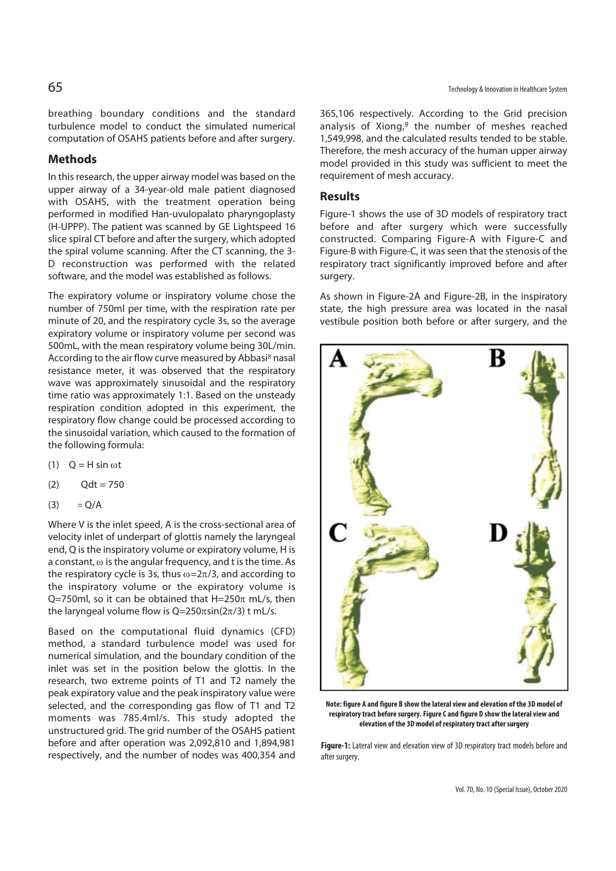breathing boundary conditions and the standard turbulence model to conduct the simulated numerical computation of OSAHS patients before and after surgery.

### **Methods**

In this research, the upper airway model was based on the upper airway of a 34-year-old male patient diagnosed with OSAHS, with the treatment operation being performed in modified Han-uvulopalato pharyngoplasty (H-UPPP). The patient was scanned by GE Lightspeed 16 slice spiral CT before and after the surgery, which adopted the spiral volume scanning. After the CT scanning, the 3- D reconstruction was performed with the related software, and the model was established as follows.

The expiratory volume or inspiratory volume chose the number of 750ml per time, with the respiration rate per minute of 20, and the respiratory cycle 3s, so the average expiratory volume or inspiratory volume per second was 500mL, with the mean respiratory volume being 30L/min. According to the air flow curve measured by Abbasi<sup>8</sup> nasal resistance meter, it was observed that the respiratory wave was approximately sinusoidal and the respiratory time ratio was approximately 1:1. Based on the unsteady respiration condition adopted in this experiment, the respiratory flow change could be processed according to the sinusoidal variation, which caused to the formation of the following formula:

- (1)  $Q = H \sin \omega t$
- $(2)$   $Qdt = 750$
- $(3) = Q/A$

Where V is the inlet speed, A is the cross-sectional area of velocity inlet of underpart of glottis namely the laryngeal end, Q is the inspiratory volume or expiratory volume, H is a constant,  $\omega$  is the angular frequency, and t is the time. As the respiratory cycle is 3s, thus  $\omega = 2\pi/3$ , and according to the inspiratory volume or the expiratory volume is Q=750ml, so it can be obtained that  $H=250\pi$  mL/s, then the laryngeal volume flow is  $Q=250\pi sin(2\pi/3)$  t mL/s.

Based on the computational fluid dynamics (CFD) method, a standard turbulence model was used for numerical simulation, and the boundary condition of the inlet was set in the position below the glottis. In the research, two extreme points of T1 and T2 namely the peak expiratory value and the peak inspiratory value were selected, and the corresponding gas flow of T1 and T2 moments was 785.4ml/s. This study adopted the unstructured grid. The grid number of the OSAHS patient before and after operation was 2,092,810 and 1,894,981 respectively, and the number of nodes was 400,354 and

365,106 respectively. According to the Grid precision analysis of Xiong, $9$  the number of meshes reached 1,549,998, and the calculated results tended to be stable. Therefore, the mesh accuracy of the human upper airway model provided in this study was sufficient to meet the requirement of mesh accuracy.

#### **Results**

Figure-1 shows the use of 3D models of respiratory tract before and after surgery which were successfully constructed. Comparing Figure-A with Figure-C and Figure-B with Figure-C, it was seen that the stenosis of the respiratory tract significantly improved before and after surgery.

As shown in Figure-2A and Figure-2B, in the inspiratory state, the high pressure area was located in the nasal vestibule position both before or after surgery, and the



**Note: figure A and figure B show the lateral view and elevation of the 3D model of respiratory tract before surgery. Figure C and figure D show the lateral view and elevation of the 3D model of respiratory tract after surgery** 

**Figure-1:** Lateral view and elevation view of 3D respiratory tract models before and after surgery.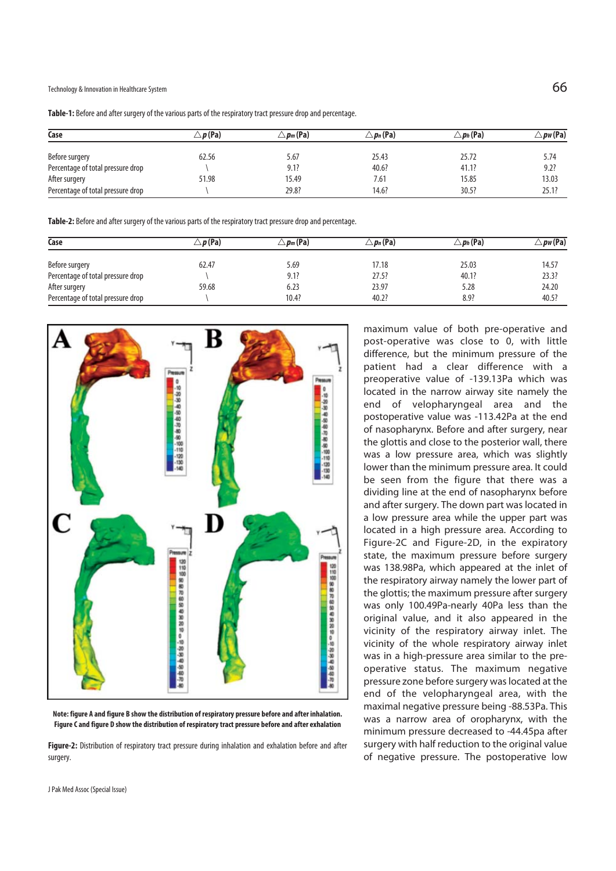Technology & Innovation in Healthcare System  $66$ 

| Case                              | $\triangle$ p(Pa) | $\triangle$ pm (Pa) | $\triangle$ pn (Pa) | $\triangle$ ph (Pa) | $\triangle$ pw(Pa) |
|-----------------------------------|-------------------|---------------------|---------------------|---------------------|--------------------|
| Before surgery                    | 62.56             | 5.67                | 25.43               | 25.72               | 5.74               |
| Percentage of total pressure drop |                   | 9.1?                | 40.6?               | 41.1?               | 9.2?               |
| After surgery                     | 51.98             | 15.49               | 7.61                | 15.85               | 13.03              |
| Percentage of total pressure drop |                   | 29.8?               | 14.6?               | 30.5?               | 25.1?              |

**Table-2:** Before and after surgery of the various parts of the respiratory tract pressure drop and percentage.

| Case                              | $\triangle p$ (Pa) | $\triangle$ pm (Pa) | $\triangle$ p <sub>n</sub> (Pa) | $\triangle$ ph (Pa) | $\triangle$ pw(Pa) |
|-----------------------------------|--------------------|---------------------|---------------------------------|---------------------|--------------------|
| Before surgery                    | 62.47              | 5.69                | 17.18                           | 25.03               | 14.57              |
| Percentage of total pressure drop |                    | 9.1?                | 27.5?                           | 40.1?               | 23.3?              |
| After surgery                     | 59.68              | 6.23                | 23.97                           | 5.28                | 24.20              |
| Percentage of total pressure drop |                    | 10.4?               | 40.2?                           | 8.9?                | 40.5?              |



**Note: figure A and figure B show the distribution of respiratory pressure before and after inhalation. Figure C and figure D show the distribution of respiratory tract pressure before and after exhalation** 

**Figure-2:** Distribution of respiratory tract pressure during inhalation and exhalation before and after surgery.

J Pak Med Assoc (Special Issue)

maximum value of both pre-operative and post-operative was close to 0, with little difference, but the minimum pressure of the patient had a clear difference with a preoperative value of -139.13Pa which was located in the narrow airway site namely the end of velopharyngeal area and the postoperative value was -113.42Pa at the end of nasopharynx. Before and after surgery, near the glottis and close to the posterior wall, there was a low pressure area, which was slightly lower than the minimum pressure area. It could be seen from the figure that there was a dividing line at the end of nasopharynx before and after surgery. The down part was located in a low pressure area while the upper part was located in a high pressure area. According to Figure-2C and Figure-2D, in the expiratory state, the maximum pressure before surgery was 138.98Pa, which appeared at the inlet of the respiratory airway namely the lower part of the glottis; the maximum pressure after surgery was only 100.49Pa-nearly 40Pa less than the original value, and it also appeared in the vicinity of the respiratory airway inlet. The vicinity of the whole respiratory airway inlet was in a high-pressure area similar to the preoperative status. The maximum negative pressure zone before surgery was located at the end of the velopharyngeal area, with the maximal negative pressure being -88.53Pa. This was a narrow area of oropharynx, with the minimum pressure decreased to -44.45pa after surgery with half reduction to the original value of negative pressure. The postoperative low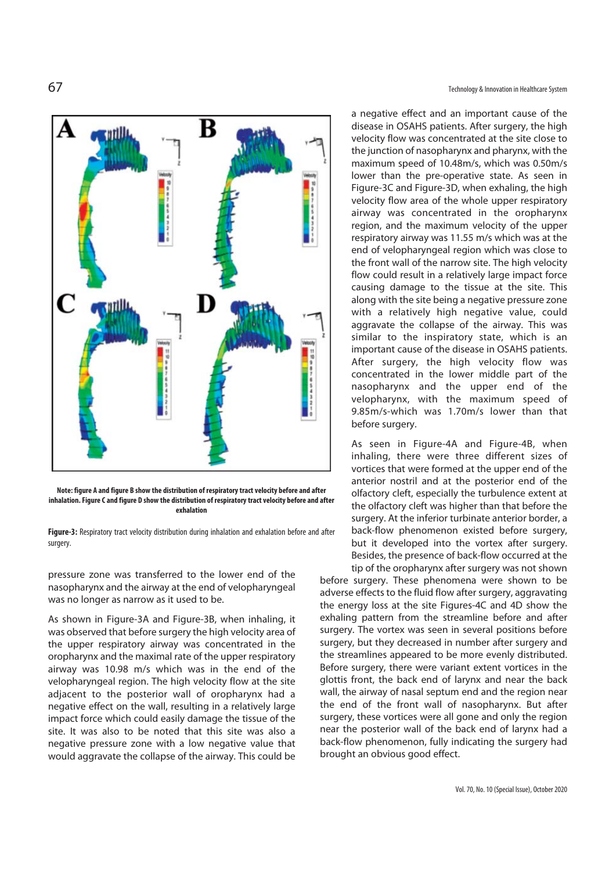

**Note: figure A and figure B show the distribution of respiratory tract velocity before and after inhalation. Figure C and figure D show the distribution of respiratory tract velocity before and after exhalation** 

**Figure-3:** Respiratory tract velocity distribution during inhalation and exhalation before and after surgery.

pressure zone was transferred to the lower end of the nasopharynx and the airway at the end of velopharyngeal was no longer as narrow as it used to be.

As shown in Figure-3A and Figure-3B, when inhaling, it was observed that before surgery the high velocity area of the upper respiratory airway was concentrated in the oropharynx and the maximal rate of the upper respiratory airway was 10.98 m/s which was in the end of the velopharyngeal region. The high velocity flow at the site adjacent to the posterior wall of oropharynx had a negative effect on the wall, resulting in a relatively large impact force which could easily damage the tissue of the site. It was also to be noted that this site was also a negative pressure zone with a low negative value that would aggravate the collapse of the airway. This could be

a negative effect and an important cause of the disease in OSAHS patients. After surgery, the high velocity flow was concentrated at the site close to the junction of nasopharynx and pharynx, with the maximum speed of 10.48m/s, which was 0.50m/s lower than the pre-operative state. As seen in Figure-3C and Figure-3D, when exhaling, the high velocity flow area of the whole upper respiratory airway was concentrated in the oropharynx region, and the maximum velocity of the upper respiratory airway was 11.55 m/s which was at the end of velopharyngeal region which was close to the front wall of the narrow site. The high velocity flow could result in a relatively large impact force causing damage to the tissue at the site. This along with the site being a negative pressure zone with a relatively high negative value, could aggravate the collapse of the airway. This was similar to the inspiratory state, which is an important cause of the disease in OSAHS patients. After surgery, the high velocity flow was concentrated in the lower middle part of the nasopharynx and the upper end of the velopharynx, with the maximum speed of 9.85m/s-which was 1.70m/s lower than that before surgery.

As seen in Figure-4A and Figure-4B, when inhaling, there were three different sizes of vortices that were formed at the upper end of the anterior nostril and at the posterior end of the olfactory cleft, especially the turbulence extent at the olfactory cleft was higher than that before the surgery. At the inferior turbinate anterior border, a back-flow phenomenon existed before surgery, but it developed into the vortex after surgery. Besides, the presence of back-flow occurred at the tip of the oropharynx after surgery was not shown

before surgery. These phenomena were shown to be adverse effects to the fluid flow after surgery, aggravating the energy loss at the site Figures-4C and 4D show the exhaling pattern from the streamline before and after surgery. The vortex was seen in several positions before surgery, but they decreased in number after surgery and the streamlines appeared to be more evenly distributed. Before surgery, there were variant extent vortices in the glottis front, the back end of larynx and near the back wall, the airway of nasal septum end and the region near the end of the front wall of nasopharynx. But after surgery, these vortices were all gone and only the region near the posterior wall of the back end of larynx had a back-flow phenomenon, fully indicating the surgery had brought an obvious good effect.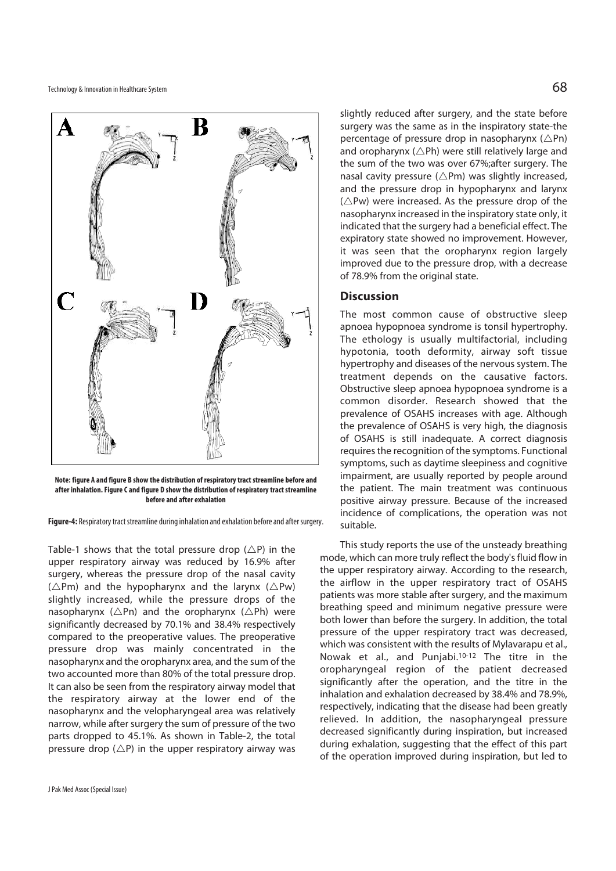

**Note: figure A and figure B show the distribution of respiratory tract streamline before and after inhalation. Figure C and figure D show the distribution of respiratory tract streamline before and after exhalation** 

**Figure-4:** Respiratory tract streamline during inhalation and exhalation before and after surgery.

Table-1 shows that the total pressure drop  $(\triangle P)$  in the upper respiratory airway was reduced by 16.9% after surgery, whereas the pressure drop of the nasal cavity ( $\triangle$ Pm) and the hypopharynx and the larynx ( $\triangle$ Pw) slightly increased, while the pressure drops of the nasopharynx ( $\triangle$ Pn) and the oropharynx ( $\triangle$ Ph) were significantly decreased by 70.1% and 38.4% respectively compared to the preoperative values. The preoperative pressure drop was mainly concentrated in the nasopharynx and the oropharynx area, and the sum of the two accounted more than 80% of the total pressure drop. It can also be seen from the respiratory airway model that the respiratory airway at the lower end of the nasopharynx and the velopharyngeal area was relatively narrow, while after surgery the sum of pressure of the two parts dropped to 45.1%. As shown in Table-2, the total pressure drop  $(\triangle P)$  in the upper respiratory airway was slightly reduced after surgery, and the state before surgery was the same as in the inspiratory state-the percentage of pressure drop in nasopharynx ( $\triangle$ Pn) and oropharynx ( $\triangle$ Ph) were still relatively large and the sum of the two was over 67%;after surgery. The nasal cavity pressure ( $\triangle$ Pm) was slightly increased, and the pressure drop in hypopharynx and larynx  $(\triangle$ Pw) were increased. As the pressure drop of the nasopharynx increased in the inspiratory state only, it indicated that the surgery had a beneficial effect. The expiratory state showed no improvement. However, it was seen that the oropharynx region largely improved due to the pressure drop, with a decrease of 78.9% from the original state.

#### **Discussion**

The most common cause of obstructive sleep apnoea hypopnoea syndrome is tonsil hypertrophy. The ethology is usually multifactorial, including hypotonia, tooth deformity, airway soft tissue hypertrophy and diseases of the nervous system. The treatment depends on the causative factors. Obstructive sleep apnoea hypopnoea syndrome is a common disorder. Research showed that the prevalence of OSAHS increases with age. Although the prevalence of OSAHS is very high, the diagnosis of OSAHS is still inadequate. A correct diagnosis requires the recognition of the symptoms. Functional symptoms, such as daytime sleepiness and cognitive impairment, are usually reported by people around the patient. The main treatment was continuous positive airway pressure. Because of the increased incidence of complications, the operation was not suitable.

This study reports the use of the unsteady breathing mode, which can more truly reflect the body's fluid flow in the upper respiratory airway. According to the research, the airflow in the upper respiratory tract of OSAHS patients was more stable after surgery, and the maximum breathing speed and minimum negative pressure were both lower than before the surgery. In addition, the total pressure of the upper respiratory tract was decreased, which was consistent with the results of Mylavarapu et al., Nowak et al., and Punjabi.10-12 The titre in the oropharyngeal region of the patient decreased significantly after the operation, and the titre in the inhalation and exhalation decreased by 38.4% and 78.9%, respectively, indicating that the disease had been greatly relieved. In addition, the nasopharyngeal pressure decreased significantly during inspiration, but increased during exhalation, suggesting that the effect of this part of the operation improved during inspiration, but led to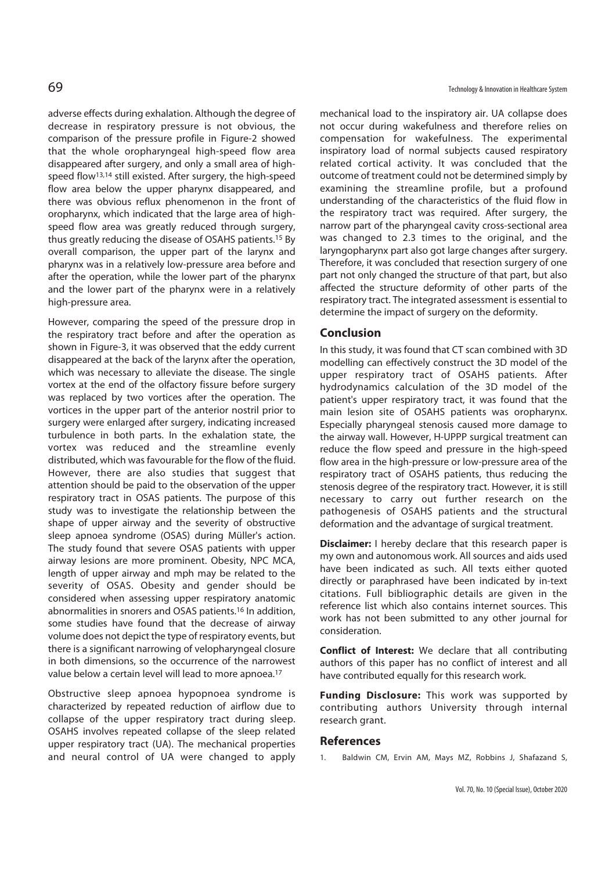adverse effects during exhalation. Although the degree of decrease in respiratory pressure is not obvious, the comparison of the pressure profile in Figure-2 showed that the whole oropharyngeal high-speed flow area disappeared after surgery, and only a small area of highspeed flow13,14 still existed. After surgery, the high-speed flow area below the upper pharynx disappeared, and there was obvious reflux phenomenon in the front of oropharynx, which indicated that the large area of highspeed flow area was greatly reduced through surgery, thus greatly reducing the disease of OSAHS patients.15 By overall comparison, the upper part of the larynx and pharynx was in a relatively low-pressure area before and after the operation, while the lower part of the pharynx and the lower part of the pharynx were in a relatively high-pressure area.

However, comparing the speed of the pressure drop in the respiratory tract before and after the operation as shown in Figure-3, it was observed that the eddy current disappeared at the back of the larynx after the operation, which was necessary to alleviate the disease. The single vortex at the end of the olfactory fissure before surgery was replaced by two vortices after the operation. The vortices in the upper part of the anterior nostril prior to surgery were enlarged after surgery, indicating increased turbulence in both parts. In the exhalation state, the vortex was reduced and the streamline evenly distributed, which was favourable for the flow of the fluid. However, there are also studies that suggest that attention should be paid to the observation of the upper respiratory tract in OSAS patients. The purpose of this study was to investigate the relationship between the shape of upper airway and the severity of obstructive sleep apnoea syndrome (OSAS) during Müller's action. The study found that severe OSAS patients with upper airway lesions are more prominent. Obesity, NPC MCA, length of upper airway and mph may be related to the severity of OSAS. Obesity and gender should be considered when assessing upper respiratory anatomic abnormalities in snorers and OSAS patients.16 In addition, some studies have found that the decrease of airway volume does not depict the type of respiratory events, but there is a significant narrowing of velopharyngeal closure in both dimensions, so the occurrence of the narrowest value below a certain level will lead to more apnoea.<sup>17</sup>

Obstructive sleep apnoea hypopnoea syndrome is characterized by repeated reduction of airflow due to collapse of the upper respiratory tract during sleep. OSAHS involves repeated collapse of the sleep related upper respiratory tract (UA). The mechanical properties and neural control of UA were changed to apply mechanical load to the inspiratory air. UA collapse does not occur during wakefulness and therefore relies on compensation for wakefulness. The experimental inspiratory load of normal subjects caused respiratory related cortical activity. It was concluded that the outcome of treatment could not be determined simply by examining the streamline profile, but a profound understanding of the characteristics of the fluid flow in the respiratory tract was required. After surgery, the narrow part of the pharyngeal cavity cross-sectional area was changed to 2.3 times to the original, and the laryngopharynx part also got large changes after surgery. Therefore, it was concluded that resection surgery of one part not only changed the structure of that part, but also affected the structure deformity of other parts of the respiratory tract. The integrated assessment is essential to determine the impact of surgery on the deformity.

## **Conclusion**

In this study, it was found that CT scan combined with 3D modelling can effectively construct the 3D model of the upper respiratory tract of OSAHS patients. After hydrodynamics calculation of the 3D model of the patient's upper respiratory tract, it was found that the main lesion site of OSAHS patients was oropharynx. Especially pharyngeal stenosis caused more damage to the airway wall. However, H-UPPP surgical treatment can reduce the flow speed and pressure in the high-speed flow area in the high-pressure or low-pressure area of the respiratory tract of OSAHS patients, thus reducing the stenosis degree of the respiratory tract. However, it is still necessary to carry out further research on the pathogenesis of OSAHS patients and the structural deformation and the advantage of surgical treatment.

**Disclaimer:** I hereby declare that this research paper is my own and autonomous work. All sources and aids used have been indicated as such. All texts either quoted directly or paraphrased have been indicated by in-text citations. Full bibliographic details are given in the reference list which also contains internet sources. This work has not been submitted to any other journal for consideration.

**Conflict of Interest:** We declare that all contributing authors of this paper has no conflict of interest and all have contributed equally for this research work.

**Funding Disclosure:** This work was supported by contributing authors University through internal research grant.

# **References**

Baldwin CM, Ervin AM, Mays MZ, Robbins J, Shafazand S,